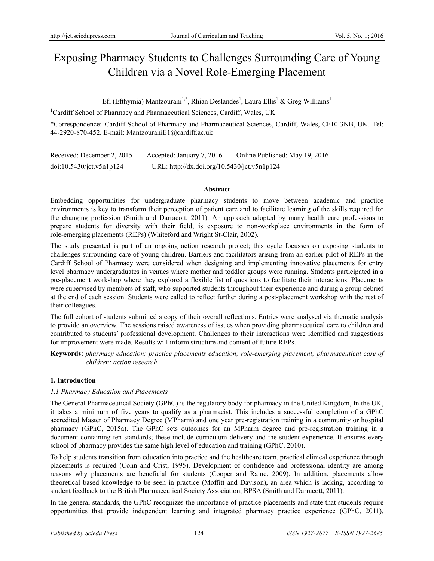# Exposing Pharmacy Students to Challenges Surrounding Care of Young Children via a Novel Role-Emerging Placement

Efi (Efthymia) Mantzourani<sup>1,\*</sup>, Rhian Deslandes<sup>1</sup>, Laura Ellis<sup>1</sup> & Greg Williams<sup>1</sup>

<sup>1</sup>Cardiff School of Pharmacy and Pharmaceutical Sciences, Cardiff, Wales, UK

\*Correspondence: Cardiff School of Pharmacy and Pharmaceutical Sciences, Cardiff, Wales, CF10 3NB, UK. Tel: 44-2920-870-452. E-mail: MantzouraniE1@cardiff.ac.uk

Received: December 2, 2015 Accepted: January 7, 2016 Online Published: May 19, 2016 doi:10.5430/jct.v5n1p124 URL: http://dx.doi.org/10.5430/jct.v5n1p124

## **Abstract**

Embedding opportunities for undergraduate pharmacy students to move between academic and practice environments is key to transform their perception of patient care and to facilitate learning of the skills required for the changing profession (Smith and Darracott, 2011). An approach adopted by many health care professions to prepare students for diversity with their field, is exposure to non-workplace environments in the form of role-emerging placements (REPs) (Whiteford and Wright St-Clair, 2002).

The study presented is part of an ongoing action research project; this cycle focusses on exposing students to challenges surrounding care of young children. Barriers and facilitators arising from an earlier pilot of REPs in the Cardiff School of Pharmacy were considered when designing and implementing innovative placements for entry level pharmacy undergraduates in venues where mother and toddler groups were running. Students participated in a pre-placement workshop where they explored a flexible list of questions to facilitate their interactions. Placements were supervised by members of staff, who supported students throughout their experience and during a group debrief at the end of each session. Students were called to reflect further during a post-placement workshop with the rest of their colleagues.

The full cohort of students submitted a copy of their overall reflections. Entries were analysed via thematic analysis to provide an overview. The sessions raised awareness of issues when providing pharmaceutical care to children and contributed to students' professional development. Challenges to their interactions were identified and suggestions for improvement were made. Results will inform structure and content of future REPs.

**Keywords:** *pharmacy education; practice placements education; role-emerging placement; pharmaceutical care of children; action research*

# **1. Introduction**

# *1.1 Pharmacy Education and Placements*

The General Pharmaceutical Society (GPhC) is the regulatory body for pharmacy in the United Kingdom, In the UK, it takes a minimum of five years to qualify as a pharmacist. This includes a successful completion of a GPhC accredited Master of Pharmacy Degree (MPharm) and one year pre-registration training in a community or hospital pharmacy (GPhC, 2015a). The GPhC sets outcomes for an MPharm degree and pre-registration training in a document containing ten standards; these include curriculum delivery and the student experience. It ensures every school of pharmacy provides the same high level of education and training (GPhC, 2010).

To help students transition from education into practice and the healthcare team, practical clinical experience through placements is required (Cohn and Crist, 1995). Development of confidence and professional identity are among reasons why placements are beneficial for students (Cooper and Raine, 2009). In addition, placements allow theoretical based knowledge to be seen in practice (Moffitt and Davison), an area which is lacking, according to student feedback to the British Pharmaceutical Society Association, BPSA (Smith and Darracott, 2011).

In the general standards, the GPhC recognizes the importance of practice placements and state that students require opportunities that provide independent learning and integrated pharmacy practice experience (GPhC, 2011).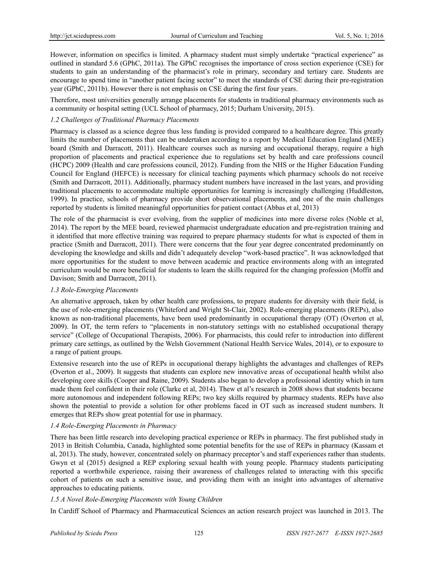However, information on specifics is limited. A pharmacy student must simply undertake "practical experience" as outlined in standard 5.6 (GPhC, 2011a). The GPhC recognises the importance of cross section experience (CSE) for students to gain an understanding of the pharmacist's role in primary, secondary and tertiary care. Students are encourage to spend time in "another patient facing sector" to meet the standards of CSE during their pre-registration year (GPhC, 2011b). However there is not emphasis on CSE during the first four years.

Therefore, most universities generally arrange placements for students in traditional pharmacy environments such as a community or hospital setting (UCL School of pharmacy, 2015; Durham University, 2015).

# *1.2 Challenges of Traditional Pharmacy Placements*

Pharmacy is classed as a science degree thus less funding is provided compared to a healthcare degree. This greatly limits the number of placements that can be undertaken according to a report by Medical Education England (MEE) board (Smith and Darracott, 2011). Healthcare courses such as nursing and occupational therapy, require a high proportion of placements and practical experience due to regulations set by health and care professions council (HCPC) 2009 (Health and care professions council, 2012). Funding from the NHS or the Higher Education Funding Council for England (HEFCE) is necessary for clinical teaching payments which pharmacy schools do not receive (Smith and Darracott, 2011). Additionally, pharmacy student numbers have increased in the last years, and providing traditional placements to accommodate multiple opportunities for learning is increasingly challenging (Huddleston, 1999). In practice, schools of pharmacy provide short observational placements, and one of the main challenges reported by students is limited meaningful opportunities for patient contact (Abbas et al, 2013)

The role of the pharmacist is ever evolving, from the supplier of medicines into more diverse roles (Noble et al, 2014). The report by the MEE board, reviewed pharmacist undergraduate education and pre-registration training and it identified that more effective training was required to prepare pharmacy students for what is expected of them in practice (Smith and Darracott, 2011). There were concerns that the four year degree concentrated predominantly on developing the knowledge and skills and didn't adequately develop "work-based practice". It was acknowledged that more opportunities for the student to move between academic and practice environments along with an integrated curriculum would be more beneficial for students to learn the skills required for the changing profession (Moffit and Davison; Smith and Darracott, 2011).

# *1.3 Role-Emerging Placements*

An alternative approach, taken by other health care professions, to prepare students for diversity with their field, is the use of role-emerging placements (Whiteford and Wright St-Clair, 2002). Role-emerging placements (REPs), also known as non-traditional placements, have been used predominantly in occupational therapy (OT) (Overton et al, 2009). In OT, the term refers to "placements in non-statutory settings with no established occupational therapy service" (College of Occupational Therapists, 2006). For pharmacists, this could refer to introduction into different primary care settings, as outlined by the Welsh Government (National Health Service Wales, 2014), or to exposure to a range of patient groups.

Extensive research into the use of REPs in occupational therapy highlights the advantages and challenges of REPs (Overton et al., 2009). It suggests that students can explore new innovative areas of occupational health whilst also developing core skills (Cooper and Raine, 2009). Students also began to develop a professional identity which in turn made them feel confident in their role (Clarke et al, 2014). Thew et al's research in 2008 shows that students became more autonomous and independent following REPs; two key skills required by pharmacy students. REPs have also shown the potential to provide a solution for other problems faced in OT such as increased student numbers. It emerges that REPs show great potential for use in pharmacy.

# *1.4 Role-Emerging Placements in Pharmacy*

There has been little research into developing practical experience or REPs in pharmacy. The first published study in 2013 in British Columbia, Canada, highlighted some potential benefits for the use of REPs in pharmacy (Kassam et al, 2013). The study, however, concentrated solely on pharmacy preceptor's and staff experiences rather than students. Gwyn et al (2015) designed a REP exploring sexual health with young people. Pharmacy students participating reported a worthwhile experience, raising their awareness of challenges related to interacting with this specific cohort of patients on such a sensitive issue, and providing them with an insight into advantages of alternative approaches to educating patients.

# *1.5 A Novel Role-Emerging Placements with Young Children*

In Cardiff School of Pharmacy and Pharmaceutical Sciences an action research project was launched in 2013. The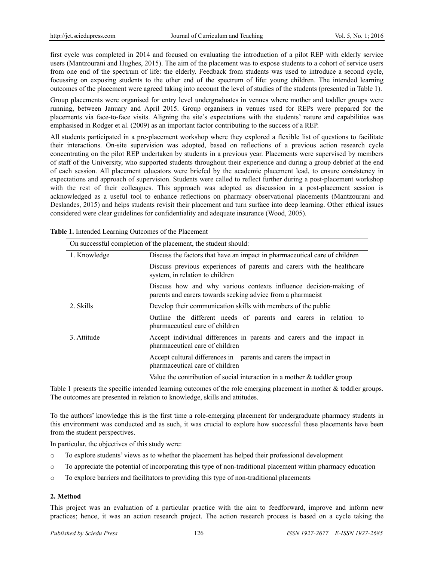first cycle was completed in 2014 and focused on evaluating the introduction of a pilot REP with elderly service users (Mantzourani and Hughes, 2015). The aim of the placement was to expose students to a cohort of service users from one end of the spectrum of life: the elderly. Feedback from students was used to introduce a second cycle, focussing on exposing students to the other end of the spectrum of life: young children. The intended learning outcomes of the placement were agreed taking into account the level of studies of the students (presented in Table 1).

Group placements were organised for entry level undergraduates in venues where mother and toddler groups were running, between January and April 2015. Group organisers in venues used for REPs were prepared for the placements via face-to-face visits. Aligning the site's expectations with the students' nature and capabilities was emphasised in Rodger et al. (2009) as an important factor contributing to the success of a REP.

All students participated in a pre-placement workshop where they explored a flexible list of questions to facilitate their interactions. On-site supervision was adopted, based on reflections of a previous action research cycle concentrating on the pilot REP undertaken by students in a previous year. Placements were supervised by members of staff of the University, who supported students throughout their experience and during a group debrief at the end of each session. All placement educators were briefed by the academic placement lead, to ensure consistency in expectations and approach of supervision. Students were called to reflect further during a post-placement workshop with the rest of their colleagues. This approach was adopted as discussion in a post-placement session is acknowledged as a useful tool to enhance reflections on pharmacy observational placements (Mantzourani and Deslandes, 2015) and helps students revisit their placement and turn surface into deep learning. Other ethical issues considered were clear guidelines for confidentiality and adequate insurance (Wood, 2005).

| On successful completion of the placement, the student should: |                                                                                                                                  |  |
|----------------------------------------------------------------|----------------------------------------------------------------------------------------------------------------------------------|--|
| 1. Knowledge                                                   | Discuss the factors that have an impact in pharmaceutical care of children                                                       |  |
|                                                                | Discuss previous experiences of parents and carers with the healthcare<br>system, in relation to children                        |  |
|                                                                | Discuss how and why various contexts influence decision-making of<br>parents and carers towards seeking advice from a pharmacist |  |
| 2. Skills                                                      | Develop their communication skills with members of the public                                                                    |  |
|                                                                | Outline the different needs of parents and carers in relation to<br>pharmaceutical care of children                              |  |
| 3. Attitude                                                    | Accept individual differences in parents and carers and the impact in<br>pharmaceutical care of children                         |  |
|                                                                | Accept cultural differences in parents and carers the impact in<br>pharmaceutical care of children                               |  |
|                                                                | Value the contribution of social interaction in a mother $\&$ toddler group                                                      |  |

**Table 1.** Intended Learning Outcomes of the Placement

Table 1 presents the specific intended learning outcomes of the role emerging placement in mother & toddler groups. The outcomes are presented in relation to knowledge, skills and attitudes.

To the authors' knowledge this is the first time a role-emerging placement for undergraduate pharmacy students in this environment was conducted and as such, it was crucial to explore how successful these placements have been from the student perspectives.

In particular, the objectives of this study were:

- o To explore students' views as to whether the placement has helped their professional development
- o To appreciate the potential of incorporating this type of non-traditional placement within pharmacy education
- o To explore barriers and facilitators to providing this type of non-traditional placements

# **2. Method**

This project was an evaluation of a particular practice with the aim to feedforward, improve and inform new practices; hence, it was an action research project. The action research process is based on a cycle taking the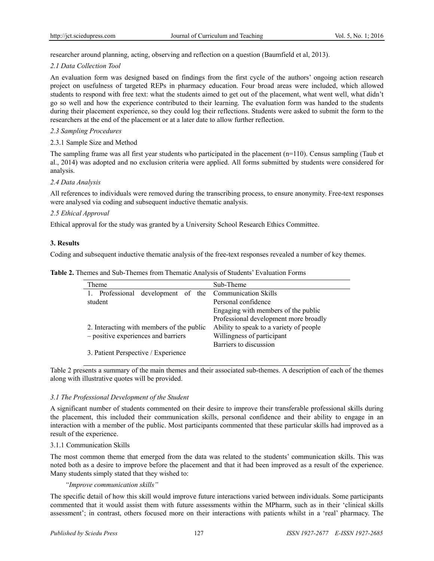researcher around planning, acting, observing and reflection on a question (Baumfield et al, 2013).

## *2.1 Data Collection Tool*

An evaluation form was designed based on findings from the first cycle of the authors' ongoing action research project on usefulness of targeted REPs in pharmacy education. Four broad areas were included, which allowed students to respond with free text: what the students aimed to get out of the placement, what went well, what didn't go so well and how the experience contributed to their learning. The evaluation form was handed to the students during their placement experience, so they could log their reflections. Students were asked to submit the form to the researchers at the end of the placement or at a later date to allow further reflection.

# *2.3 Sampling Procedures*

## 2.3.1 Sample Size and Method

The sampling frame was all first year students who participated in the placement (n=110). Census sampling (Taub et al., 2014) was adopted and no exclusion criteria were applied. All forms submitted by students were considered for analysis.

## *2.4 Data Analysis*

All references to individuals were removed during the transcribing process, to ensure anonymity. Free-text responses were analysed via coding and subsequent inductive thematic analysis.

## *2.5 Ethical Approval*

Ethical approval for the study was granted by a University School Research Ethics Committee.

## **3. Results**

Coding and subsequent inductive thematic analysis of the free-text responses revealed a number of key themes.

| Theme                                                   | Sub-Theme                               |
|---------------------------------------------------------|-----------------------------------------|
| development of the Communication Skills<br>Professional |                                         |
| student                                                 | Personal confidence                     |
|                                                         | Engaging with members of the public     |
|                                                         | Professional development more broadly   |
| 2. Interacting with members of the public               | Ability to speak to a variety of people |
| - positive experiences and barriers                     | Willingness of participant              |
|                                                         | Barriers to discussion                  |
| 3. Patient Perspective / Experience                     |                                         |

**Table 2.** Themes and Sub-Themes from Thematic Analysis of Students' Evaluation Forms

Table 2 presents a summary of the main themes and their associated sub-themes. A description of each of the themes along with illustrative quotes will be provided.

# *3.1 The Professional Development of the Student*

A significant number of students commented on their desire to improve their transferable professional skills during the placement, this included their communication skills, personal confidence and their ability to engage in an interaction with a member of the public. Most participants commented that these particular skills had improved as a result of the experience.

#### 3.1.1 Communication Skills

The most common theme that emerged from the data was related to the students' communication skills. This was noted both as a desire to improve before the placement and that it had been improved as a result of the experience. Many students simply stated that they wished to:

# *"Improve communication skills"*

The specific detail of how this skill would improve future interactions varied between individuals. Some participants commented that it would assist them with future assessments within the MPharm, such as in their 'clinical skills assessment'; in contrast, others focused more on their interactions with patients whilst in a 'real' pharmacy. The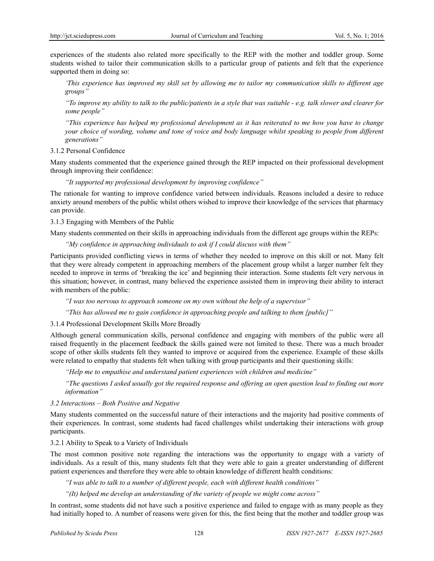experiences of the students also related more specifically to the REP with the mother and toddler group. Some students wished to tailor their communication skills to a particular group of patients and felt that the experience supported them in doing so:

*'This experience has improved my skill set by allowing me to tailor my communication skills to different age groups"* 

*"To improve my ability to talk to the public/patients in a style that was suitable - e.g. talk slower and clearer for some people"* 

*"This experience has helped my professional development as it has reiterated to me how you have to change your choice of wording, volume and tone of voice and body language whilst speaking to people from different generations"* 

3.1.2 Personal Confidence

Many students commented that the experience gained through the REP impacted on their professional development through improving their confidence:

*"It supported my professional development by improving confidence"* 

The rationale for wanting to improve confidence varied between individuals. Reasons included a desire to reduce anxiety around members of the public whilst others wished to improve their knowledge of the services that pharmacy can provide.

3.1.3 Engaging with Members of the Public

Many students commented on their skills in approaching individuals from the different age groups within the REPs:

*"My confidence in approaching individuals to ask if I could discuss with them"* 

Participants provided conflicting views in terms of whether they needed to improve on this skill or not. Many felt that they were already competent in approaching members of the placement group whilst a larger number felt they needed to improve in terms of 'breaking the ice' and beginning their interaction. Some students felt very nervous in this situation; however, in contrast, many believed the experience assisted them in improving their ability to interact with members of the public:

*"I was too nervous to approach someone on my own without the help of a supervisor"*

*"This has allowed me to gain confidence in approaching people and talking to them [public]"* 

3.1.4 Professional Development Skills More Broadly

Although general communication skills, personal confidence and engaging with members of the public were all raised frequently in the placement feedback the skills gained were not limited to these. There was a much broader scope of other skills students felt they wanted to improve or acquired from the experience. Example of these skills were related to empathy that students felt when talking with group participants and their questioning skills:

 *"Help me to empathise and understand patient experiences with children and medicine"* 

*"The questions I asked usually got the required response and offering an open question lead to finding out more information"* 

*3.2 Interactions – Both Positive and Negative* 

Many students commented on the successful nature of their interactions and the majority had positive comments of their experiences. In contrast, some students had faced challenges whilst undertaking their interactions with group participants.

3.2.1 Ability to Speak to a Variety of Individuals

The most common positive note regarding the interactions was the opportunity to engage with a variety of individuals. As a result of this, many students felt that they were able to gain a greater understanding of different patient experiences and therefore they were able to obtain knowledge of different health conditions:

*"I was able to talk to a number of different people, each with different health conditions"* 

*"(It) helped me develop an understanding of the variety of people we might come across"* 

In contrast, some students did not have such a positive experience and failed to engage with as many people as they had initially hoped to. A number of reasons were given for this, the first being that the mother and toddler group was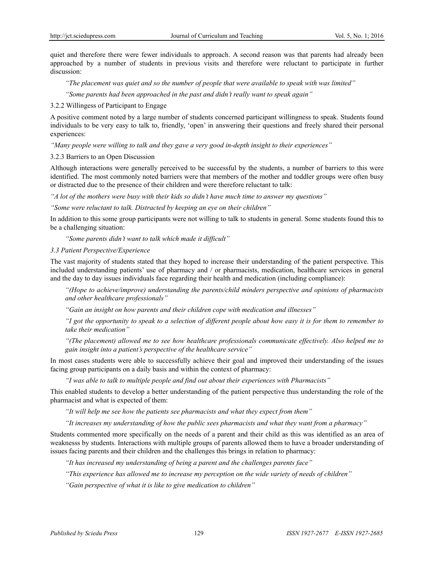quiet and therefore there were fewer individuals to approach. A second reason was that parents had already been approached by a number of students in previous visits and therefore were reluctant to participate in further discussion:

*"The placement was quiet and so the number of people that were available to speak with was limited"* 

*"Some parents had been approached in the past and didn't really want to speak again"* 

3.2.2 Willingess of Participant to Engage

A positive comment noted by a large number of students concerned participant willingness to speak. Students found individuals to be very easy to talk to, friendly, 'open' in answering their questions and freely shared their personal experiences:

*"Many people were willing to talk and they gave a very good in-depth insight to their experiences"* 

3.2.3 Barriers to an Open Discussion

Although interactions were generally perceived to be successful by the students, a number of barriers to this were identified. The most commonly noted barriers were that members of the mother and toddler groups were often busy or distracted due to the presence of their children and were therefore reluctant to talk:

*"A lot of the mothers were busy with their kids so didn't have much time to answer my questions"* 

*"Some were reluctant to talk. Distracted by keeping an eye on their children"* 

In addition to this some group participants were not willing to talk to students in general. Some students found this to be a challenging situation:

*"Some parents didn't want to talk which made it difficult"* 

#### *3.3 Patient Perspective/Experience*

The vast majority of students stated that they hoped to increase their understanding of the patient perspective. This included understanding patients' use of pharmacy and / or pharmacists, medication, healthcare services in general and the day to day issues individuals face regarding their health and medication (including compliance):

*"(Hope to achieve/improve) understanding the parents/child minders perspective and opinions of pharmacists and other healthcare professionals"* 

*"Gain an insight on how parents and their children cope with medication and illnesses"* 

*"I got the opportunity to speak to a selection of different people about how easy it is for them to remember to take their medication"* 

*"(The placement) allowed me to see how healthcare professionals communicate effectively. Also helped me to gain insight into a patient's perspective of the healthcare service"* 

In most cases students were able to successfully achieve their goal and improved their understanding of the issues facing group participants on a daily basis and within the context of pharmacy:

*"I was able to talk to multiple people and find out about their experiences with Pharmacists"* 

This enabled students to develop a better understanding of the patient perspective thus understanding the role of the pharmacist and what is expected of them:

*"It will help me see how the patients see pharmacists and what they expect from them"* 

*"It increases my understanding of how the public sees pharmacists and what they want from a pharmacy"* 

Students commented more specifically on the needs of a parent and their child as this was identified as an area of weaknesss by students. Interactions with multiple groups of parents allowed them to have a broader understanding of issues facing parents and their children and the challenges this brings in relation to pharmacy:

*"It has increased my understanding of being a parent and the challenges parents face"* 

*"This experience has allowed me to increase my perception on the wide variety of needs of children"* 

*"Gain perspective of what it is like to give medication to children"*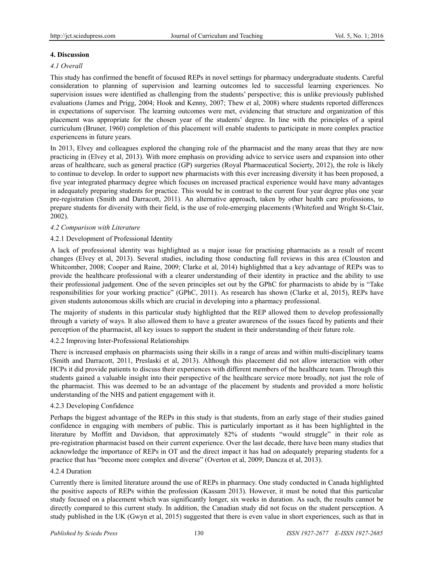# **4. Discussion**

# *4.1 Overall*

This study has confirmed the benefit of focused REPs in novel settings for pharmacy undergraduate students. Careful consideration to planning of supervision and learning outcomes led to successful learning experiences. No supervision issues were identified as challenging from the students' perspective; this is unlike previously published evaluations (James and Prigg, 2004; Hook and Kenny, 2007; Thew et al, 2008) where students reported differences in expectations of supervisor. The learning outcomes were met, evidencing that structure and organization of this placement was appropriate for the chosen year of the students' degree. In line with the principles of a spiral curriculum (Bruner, 1960) completion of this placement will enable students to participate in more complex practice experiencens in future years.

In 2013, Elvey and colleagues explored the changing role of the pharmacist and the many areas that they are now practicing in (Elvey et al, 2013). With more emphasis on providing advice to service users and expansion into other areas of healthcare, such as general practice (GP) surgeries (Royal Pharmaceutical Socierty, 2012), the role is likely to continue to develop. In order to support new pharmacists with this ever increasing diversity it has been proposed, a five year integrated pharmacy degree which focuses on increased practical experience would have many advantages in adequately preparing students for practice. This would be in contrast to the current four year degree plus one year pre-registration (Smith and Darracott, 2011). An alternative approach, taken by other health care professions, to prepare students for diversity with their field, is the use of role-emerging placements (Whiteford and Wright St-Clair, 2002).

# *4.2 Comparison with Literature*

# 4.2.1 Development of Professional Identity

A lack of professional identity was highlighted as a major issue for practising pharmacists as a result of recent changes (Elvey et al, 2013). Several studies, including those conducting full reviews in this area (Clouston and Whitcomber, 2008; Cooper and Raine, 2009; Clarke et al, 2014) highlightted that a key advantage of REPs was to provide the healthcare professional with a clearer understanding of their identity in practice and the ability to use their professional judgement. One of the seven principles set out by the GPhC for pharmacists to abide by is "Take responsibilities for your working practice" (GPhC, 2011). As research has shown (Clarke et al, 2015), REPs have given students autonomous skills which are crucial in developing into a pharmacy professional.

The majority of students in this particular study highlighted that the REP allowed them to develop professionally through a variety of ways. It also allowed them to have a greater awareness of the issues faced by patients and their perception of the pharmacist, all key issues to support the student in their understanding of their future role.

# 4.2.2 Improving Inter-Professional Relationships

There is increased emphasis on pharmacists using their skills in a range of areas and within multi-disciplinary teams (Smith and Darracott, 2011, Preslaski et al, 2013). Although this placement did not allow interaction with other HCPs it did provide patients to discuss their experiences with different members of the healthcare team. Through this students gained a valuable insight into their perspective of the healthcare service more broadly, not just the role of the pharmacist. This was deemed to be an advantage of the placement by students and provided a more holistic understanding of the NHS and patient engagement with it.

# 4.2.3 Developing Confidence

Perhaps the biggest advantage of the REPs in this study is that students, from an early stage of their studies gained confidence in engaging with members of public. This is particularly important as it has been highlighted in the literature by Moffitt and Davidson, that approximately 82% of students "would struggle" in their role as pre-registration pharmacist based on their current experience. Over the last decade, there have been many studies that acknowledge the importance of REPs in OT and the direct impact it has had on adequately preparing students for a practice that has "become more complex and diverse" (Overton et al, 2009; Dancza et al, 2013).

# 4.2.4 Duration

Currently there is limited literature around the use of REPs in pharmacy. One study conducted in Canada highlighted the positive aspects of REPs within the profession (Kassam 2013). However, it must be noted that this particular study focused on a placement which was significantly longer, six weeks in duration. As such, the results cannot be directly compared to this current study. In addition, the Canadian study did not focus on the student persception. A study published in the UK (Gwyn et al, 2015) suggested that there is even value in short experiences, such as that in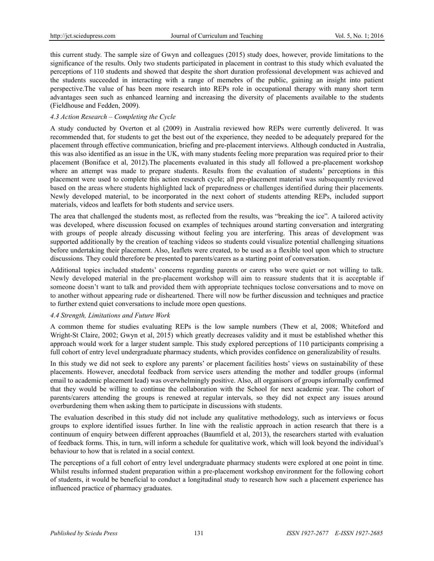this current study. The sample size of Gwyn and colleagues (2015) study does, however, provide limitations to the significance of the results. Only two students participated in placement in contrast to this study which evaluated the perceptions of 110 students and showed that despite the short duration professional development was achieved and the students succeeded in interacting with a range of memebrs of the public, gaining an insight into patient perspective.The value of has been more research into REPs role in occupational therapy with many short term advantages seen such as enhanced learning and increasing the diversity of placements available to the students (Fieldhouse and Fedden, 2009).

# *4.3 Action Research – Completing the Cycle*

A study conducted by Overton et al (2009) in Australia reviewed how REPs were currently delivered. It was recommended that, for students to get the best out of the experience, they needed to be adequately prepared for the placement through effective communication, briefing and pre-placement interviews. Although conducted in Australia, this was also identified as an issue in the UK, with many students feeling more preparation was required prior to their placement (Boniface et al, 2012).The placements evaluated in this study all followed a pre-placement workshop where an attempt was made to prepare students. Results from the evaluation of students' perceptions in this placement were used to complete this action research cycle; all pre-placement material was subsequently reviewed based on the areas where students highlighted lack of preparedness or challenges identified during their placements. Newly developed material, to be incorporated in the next cohort of students attending REPs, included support materials, videos and leaflets for both students and service users.

The area that challenged the students most, as reflected from the results, was "breaking the ice". A tailored activity was developed, where discussion focused on examples of techniques around starting conversation and intergrating with groups of people already discussing without feeling you are interfering. This areas of development was supported additionally by the creation of teaching videos so students could visualize potential challenging situations before undertaking their placement. Also, leaflets were created, to be used as a flexible tool upon which to structure discussions. They could therefore be presented to parents/carers as a starting point of conversation.

Additional topics included students' concerns regarding parents or carers who were quiet or not willing to talk. Newly developed material in the pre-placement workshop will aim to reassure students that it is acceptable if someone doesn't want to talk and provided them with appropriate techniques toclose conversations and to move on to another without appearing rude or disheartened. There will now be further discussion and techniques and practice to further extend quiet conversations to include more open questions.

# *4.4 Strength, Limitations and Future Work*

A common theme for studies evaluating REPs is the low sample numbers (Thew et al, 2008; Whiteford and Wright-St Claire, 2002; Gwyn et al, 2015) which greatly decreases validity and it must be established whether this approach would work for a larger student sample. This study explored perceptions of 110 participants comprising a full cohort of entry level undergraduate pharmacy students, which provides confidence on generalizability of results.

In this study we did not seek to explore any parents' or placement facilities hosts' views on sustainability of these placements. However, anecdotal feedback from service users attending the mother and toddler groups (informal email to academic placement lead) was overwhelmingly positive. Also, all organisors of groups informally confirmed that they would be willing to continue the collaboration with the School for next academic year. The cohort of parents/carers attending the groups is renewed at regular intervals, so they did not expect any issues around overburdening them when asking them to participate in discussions with students.

The evaluation described in this study did not include any qualitative methodology, such as interviews or focus groups to explore identified issues further. In line with the realistic approach in action research that there is a continuum of enquiry between different approaches (Baumfield et al, 2013), the researchers started with evaluation of feedback forms. This, in turn, will inform a schedule for qualitative work, which will look beyond the individual's behaviour to how that is related in a social context.

The perceptions of a full cohort of entry level undergraduate pharmacy students were explored at one point in time. Whilst results informed student preparation within a pre-placement workshop environment for the following cohort of students, it would be beneficial to conduct a longitudinal study to research how such a placement experience has influenced practice of pharmacy graduates.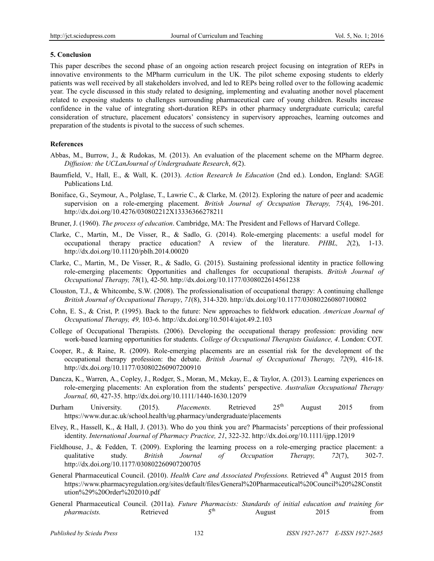## **5. Conclusion**

This paper describes the second phase of an ongoing action research project focusing on integration of REPs in innovative environments to the MPharm curriculum in the UK. The pilot scheme exposing students to elderly patients was well received by all stakeholders involved, and led to REPs being rolled over to the following academic year. The cycle discussed in this study related to designing, implementing and evaluating another novel placement related to exposing students to challenges surrounding pharmaceutical care of young children. Results increase confidence in the value of integrating short-duration REPs in other pharmacy undergraduate curricula; careful consideration of structure, placement educators' consistency in supervisory approaches, learning outcomes and preparation of the students is pivotal to the success of such schemes.

# **References**

- Abbas, M., Burrow, J., & Rudokas, M. (2013). An evaluation of the placement scheme on the MPharm degree. *Diffusion: the UCLanJournal of Undergraduate Research*, *6*(2).
- Baumfield, V., Hall, E., & Wall, K. (2013). *Action Research In Education* (2nd ed.). London, England: SAGE Publications Ltd.
- Boniface, G., Seymour, A., Polglase, T., Lawrie C., & Clarke, M. (2012). Exploring the nature of peer and academic supervision on a role-emerging placement. *British Journal of Occupation Therapy, 75*(4), 196-201. http://dx.doi.org/10.4276/030802212X13336366278211
- Bruner, J. (1960). *The process of education*. Cambridge, MA: The President and Fellows of Harvard College.
- Clarke, C., Martin, M., De Visser, R., & Sadlo, G. (2014). Role-emerging placements: a useful model for occupational therapy practice education? A review of the literature. *PHBL, 2*(2), 1-13. http://dx.doi.org/10.11120/pblh.2014.00020
- Clarke, C., Martin, M., De Visser, R., & Sadlo, G. (2015). Sustaining professional identity in practice following role-emerging placements: Opportunities and challenges for occupational therapists. *British Journal of Occupational Therapy, 78*(1), 42-50. http://dx.doi.org/10.1177/0308022614561238
- Clouston, T.J., & Whitcombe, S.W. (2008). The professionalisation of occupational therapy: A continuing challenge *British Journal of Occupational Therapy*, *71*(8), 314-320. http://dx.doi.org/10.1177/030802260807100802
- Cohn, E. S., & Crist, P. (1995). Back to the future: New approaches to fieldwork education. *American Journal of Occupational Therapy, 49,* 103-6. http://dx.doi.org/10.5014/ajot.49.2.103
- College of Occupational Therapists. (2006). Developing the occupational therapy profession: providing new work-based learning opportunities for students. *College of Occupational Therapists Guidance, 4*. London: COT.
- Cooper, R., & Raine, R. (2009). Role-emerging placements are an essential risk for the development of the occupational therapy profession: the debate. *British Journal of Occupational Therapy, 72*(9), 416-18. http://dx.doi.org/10.1177/030802260907200910
- Dancza, K., Warren, A., Copley, J., Rodger, S., Moran, M., Mckay, E., & Taylor, A. (2013). Learning experiences on role-emerging placements: An exploration from the students' perspective. *Australian Occupational Therapy Journal, 6*0, 427-35. http://dx.doi.org/10.1111/1440-1630.12079
- Durham University. (2015). *Placements*. Retrieved 25<sup>th</sup> August 2015 from https://www.dur.ac.uk/school.health/ug.pharmacy/undergraduate/placements
- Elvey, R., Hassell, K., & Hall, J. (2013). Who do you think you are? Pharmacists' perceptions of their professional identity. *International Journal of Pharmacy Practice, 21*, 322-32. http://dx.doi.org/10.1111/ijpp.12019
- Fieldhouse, J., & Fedden, T. (2009). Exploring the learning process on a role-emerging practice placement: a qualitative study. *British Journal of Occupation Therapy, 72*(7), 302-7. http://dx.doi.org/10.1177/030802260907200705
- General Pharmaceutical Council. (2010). *Health Care and Associated Professions*. Retrieved 4<sup>th</sup> August 2015 from https://www.pharmacyregulation.org/sites/default/files/General%20Pharmaceutical%20Council%20%28Constit ution%29%20Order%202010.pdf
- General Pharmaceutical Council. (2011a). *Future Pharmacists: Standards of initial education and training for pharmacists*. Retrieved 5<sup>th</sup> August 2015 *from pharmacists.* Retrieved 5<sup>th</sup> August 2015 from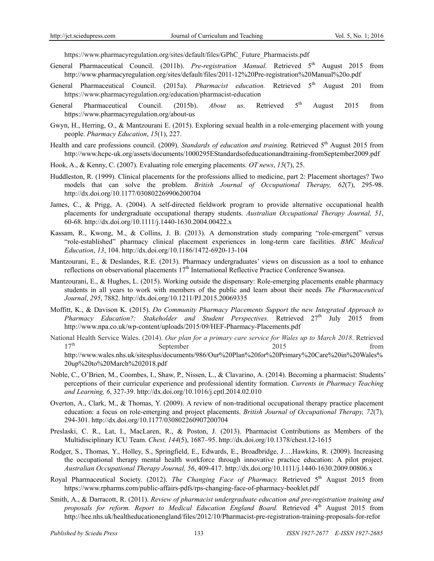https://www.pharmacyregulation.org/sites/default/files/GPhC\_Future\_Pharmacists.pdf

- General Pharmaceutical Council. (2011b). *Pre-registration Manual*. Retrieved 5<sup>th</sup> August 2015 from http://www.pharmacyregulation.org/sites/default/files/2011-12%20Pre-registration%20Manual%20o.pdf
- General Pharmaceutical Council. (2015a). *Pharmacist education*. Retrieved 5<sup>th</sup> August 201 from https://www.pharmacyregulation.org/education/pharmacist-education
- General Pharmaceutical Council. (2015b). *About us*. Retrieved 5<sup>th</sup> August 2015 from https://www.pharmacyregulation.org/about-us
- Gwyn, H., Herring, O., & Mantzourani E. (2015). Exploring sexual health in a role-emerging placement with young people. *Pharmacy Education*, *15*(1), 227.
- Health and care professions council. (2009). *Standards of education and training*. Retrieved 5<sup>th</sup> August 2015 from http://www.hcpc-uk.org/assets/documents/1000295EStandardsofeducationandtraining-fromSeptember2009.pdf
- Hook, A., & Kenny, C. (2007). Evaluating role emerging placements. *OT news*, *15*(7), 25.
- Huddleston, R. (1999). Clinical placements for the professions allied to medicine, part 2: Placement shortages? Two models that can solve the problem. *British Journal of Occupational Therapy, 62*(7), 295-98. http://dx.doi.org/10.1177/030802269906200704
- James, C., & Prigg, A. (2004). A self-directed fieldwork program to provide alternative occupational health placements for undergraduate occupational therapy students. *Australian Occupational Therapy Journal, 51*, 60-68. http://dx.doi.org/10.1111/j.1440-1630.2004.00422.x
- Kassam, R., Kwong, M., & Collins, J. B. (2013). A demonstration study comparing "role-emergent" versus "role-established" pharmacy clinical placement experiences in long-term care facilities. *BMC Medical Education*, *13*, 104. http://dx.doi.org/10.1186/1472-6920-13-104
- Mantzourani, E., & Deslandes, R.E. (2013). Pharmacy undergraduates' views on discussion as a tool to enhance reflections on observational placements  $17<sup>th</sup>$  International Reflective Practice Conference Swansea.
- Mantzourani, E., & Hughes, L. (2015). Working outside the dispensary: Role-emerging placements enable pharmacy students in all years to work with members of the public and learn about their needs *The Pharmaceutical Journal*, *295*, 7882. http://dx.doi.org/10.1211/PJ.2015.20069335
- Moffitt, K., & Davison K. (2015). *Do Community Pharmacy Placements Support the new Integrated Approach to Pharmacy Education?: Stakeholder and Student Perspectives.* Retrieved 27<sup>th</sup> July 2015 from http://www.npa.co.uk/wp-content/uploads/2015/09/HEF-Pharmacy-Placements.pdf
- National Health Service Wales. (2014). *Our plan for a primary care service for Wales up to March 2018*. Retrieved 17<sup>th</sup> September 2015 from http://www.wales.nhs.uk/sitesplus/documents/986/Our%20Plan%20for%20Primary%20Care%20in%20Wales% 20up%20to%20March%202018.pdf
- Noble, C., O'Brien, M., Coombes, I., Shaw, P., Nissen, L., & Clavarino, A. (2014). Becoming a pharmacist: Students' perceptions of their curricular experience and professional identity formation. *Currents in Pharmacy Teaching and Learning, 6*, 327-39. http://dx.doi.org/10.1016/j.cptl.2014.02.010
- Overton, A., Clark, M., & Thomas, Y. (2009). A review of non-traditional occupational therapy practice placement education: a focus on role-emerging and project placements. *British Journal of Occupational Therapy, 72*(7), 294-301. http://dx.doi.org/10.1177/030802260907200704
- Preslaski, C. R., Lat, I., MacLaren, R., & Poston, J. (2013). Pharmacist Contributions as Members of the Multidisciplinary ICU Team. *Chest, 144*(5), 1687–95. http://dx.doi.org/10.1378/chest.12-1615
- Rodger, S., Thomas, Y., Holley, S., Springfield, E., Edwards, E., Broadbridge, J….Hawkins, R. (2009). Increasing the occupational therapy mental health workforce through innovative practice education: A pilot project. *Australian Occupational Therapy Journal, 56*, 409-417. http://dx.doi.org/10.1111/j.1440-1630.2009.00806.x
- Royal Pharmaceutical Society. (2012). *The Changing Face of Pharmacy*. Retrieved 5<sup>th</sup> August 2015 from https://www.rpharms.com/public-affairs-pdfs/rps-changing-face-of-pharmacy-booklet.pdf
- Smith, A., & Darracott, R. (2011). *Review of pharmacist undergraduate education and pre-registration training and*  proposals for reform. Report to Medical Education England Board. Retrieved 4<sup>th</sup> August 2015 from http://hee.nhs.uk/healtheducationengland/files/2012/10/Pharmacist-pre-registration-training-proposals-for-refor